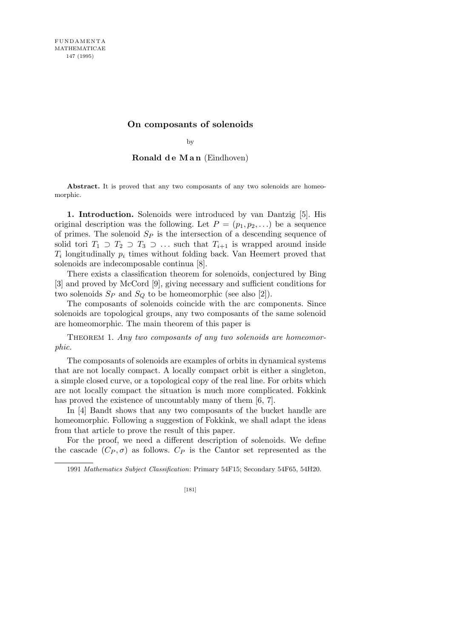## **On composants of solenoids**

by

## **Ronald d e M a n** (Eindhoven)

Abstract. It is proved that any two composants of any two solenoids are homeomorphic.

**1. Introduction.** Solenoids were introduced by van Dantzig [5]. His original description was the following. Let  $P = (p_1, p_2, \ldots)$  be a sequence of primes. The solenoid *S<sup>P</sup>* is the intersection of a descending sequence of solid tori  $T_1 \supset T_2 \supset T_3 \supset \dots$  such that  $T_{i+1}$  is wrapped around inside *Ti* longitudinally *p<sup>i</sup>* times without folding back. Van Heemert proved that solenoids are indecomposable continua [8].

There exists a classification theorem for solenoids, conjectured by Bing [3] and proved by McCord [9], giving necessary and sufficient conditions for two solenoids  $S_P$  and  $S_Q$  to be homeomorphic (see also [2]).

The composants of solenoids coincide with the arc components. Since solenoids are topological groups, any two composants of the same solenoid are homeomorphic. The main theorem of this paper is

THEOREM 1. Any two composants of any two solenoids are homeomor*phic.*

The composants of solenoids are examples of orbits in dynamical systems that are not locally compact. A locally compact orbit is either a singleton, a simple closed curve, or a topological copy of the real line. For orbits which are not locally compact the situation is much more complicated. Fokkink has proved the existence of uncountably many of them [6, 7].

In [4] Bandt shows that any two composants of the bucket handle are homeomorphic. Following a suggestion of Fokkink, we shall adapt the ideas from that article to prove the result of this paper.

For the proof, we need a different description of solenoids. We define the cascade  $(C_P, \sigma)$  as follows.  $C_P$  is the Cantor set represented as the

1991 *Mathematics Subject Classification*: Primary 54F15; Secondary 54F65, 54H20.

[181]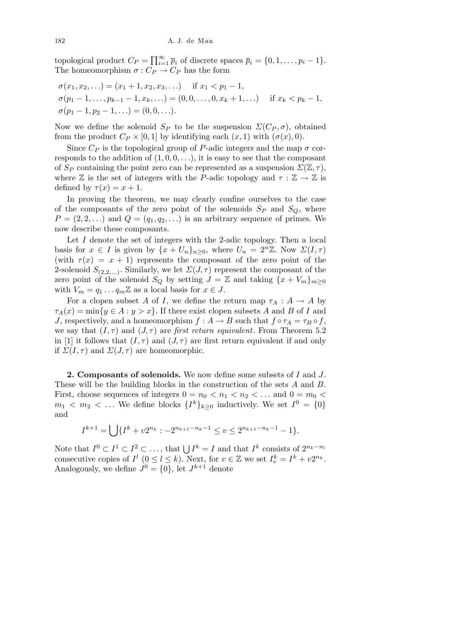topological product  $C_P = \prod_{i=1}^{\infty}$  $\sum_{i=1}^{\infty} \bar{p}_i$  of discrete spaces  $\bar{p}_i = \{0, 1, \dots, p_i - 1\}.$ The homeomorphism  $\sigma : C_P \to C_P$  has the form

$$
\sigma(x_1, x_2, \ldots) = (x_1 + 1, x_2, x_3, \ldots) \quad \text{if } x_1 < p_1 - 1,
$$
\n
$$
\sigma(p_1 - 1, \ldots, p_{k-1} - 1, x_k, \ldots) = (0, 0, \ldots, 0, x_k + 1, \ldots) \quad \text{if } x_k < p_k - 1,
$$
\n
$$
\sigma(p_1 - 1, p_2 - 1, \ldots) = (0, 0, \ldots).
$$

Now we define the solenoid  $S_P$  to be the suspension  $\Sigma(C_P, \sigma)$ , obtained from the product  $C_P \times [0,1]$  by identifying each  $(x,1)$  with  $(\sigma(x),0)$ .

Since  $C_P$  is the topological group of *P*-adic integers and the map  $\sigma$  corresponds to the addition of  $(1,0,0,\ldots)$ , it is easy to see that the composant of  $S_P$  containing the point zero can be represented as a suspension  $\Sigma(\mathbb{Z}, \tau)$ , where  $\mathbb{Z}$  is the set of integers with the *P*-adic topology and  $\tau : \mathbb{Z} \to \mathbb{Z}$  is defined by  $\tau(x) = x + 1$ .

In proving the theorem, we may clearly confine ourselves to the case of the composants of the zero point of the solenoids  $S_P$  and  $S_Q$ , where  $P = (2, 2, \ldots)$  and  $Q = (q_1, q_2, \ldots)$  is an arbitrary sequence of primes. We now describe these composants.

Let *I* denote the set of integers with the 2-adic topology. Then a local basis for  $x \in I$  is given by  $\{x + U_n\}_{n \geq 0}$ , where  $U_n = 2^n \mathbb{Z}$ . Now  $\Sigma(I, \tau)$ (with  $\tau(x) = x + 1$ ) represents the composant of the zero point of the 2-solenoid  $S_{(2,2,...)}$ . Similarly, we let  $\Sigma(J,\tau)$  represent the composant of the zero point of the solenoid  $S_Q$  by setting  $J = \mathbb{Z}$  and taking  $\{x + V_m\}_{m \geq 0}$ with  $V_m = q_1 \dots q_m \mathbb{Z}$  as a local basis for  $x \in J$ .

For a clopen subset *A* of *I*, we define the return map  $\tau_A : A \to A$  by  $\tau_A(x) = \min\{y \in A : y > x\}$ . If there exist clopen subsets *A* and *B* of *I* and *J*, respectively, and a homeomorphism  $f : A \to B$  such that  $f \circ \tau_A = \tau_B \circ f$ , we say that  $(I, \tau)$  and  $(J, \tau)$  are *first return equivalent*. From Theorem 5.2 in [1] it follows that  $(I, \tau)$  and  $(J, \tau)$  are first return equivalent if and only if  $\Sigma(I, \tau)$  and  $\Sigma(J, \tau)$  are homeomorphic.

**2. Composants of solenoids.** We now define some subsets of *I* and *J*. These will be the building blocks in the construction of the sets *A* and *B*. First, choose sequences of integers  $0 = n_0 < n_1 < n_2 < ...$  and  $0 = m_0 <$  $m_1 \leq m_2 \leq \ldots$  We define blocks  $\{I^k\}_{k\geq 0}$  inductively. We set  $I^0 = \{0\}$ and

$$
I^{k+1} = \bigcup \{ I^k + v2^{n_k} : -2^{n_{k+1} - n_k - 1} \le v \le 2^{n_{k+1} - n_k - 1} - 1 \}.
$$

Note that  $I^0 \subset I^1 \subset I^2 \subset \ldots$ , that  $\bigcup I^k = I$  and that  $I^k$  consists of  $2^{n_k - n_l}$ consecutive copies of  $I^l$   $(0 \le l \le k)$ . Next, for  $v \in \mathbb{Z}$  we set  $I_v^k = I^k + v2^{n_k}$ . Analogously, we define  $J^0 = \{0\}$ , let  $J^{k+1}$  denote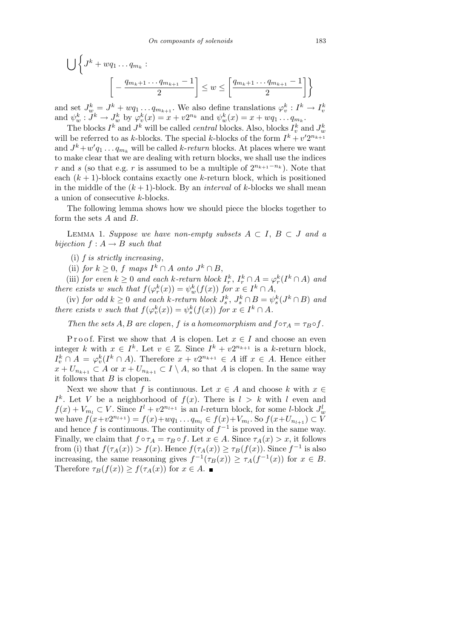$$
\bigcup \left\{ J^k + wq_1 \dots q_{m_k} : \left[ -\frac{q_{m_k+1} \dots q_{m_{k+1}} - 1}{2} \right] \le w \le \left[ \frac{q_{m_k+1} \dots q_{m_{k+1}} - 1}{2} \right] \right\}
$$

and set  $J_w^k = J^k + wq_1 \dots q_{m_{k+1}}$ . We also define translations  $\varphi_v^k : I^k \to I_v^k$ <br>and  $\psi_w^k : J^k \to J_w^k$  by  $\varphi_v^k(x) = x + v2^{n_k}$  and  $\psi_w^k(x) = x + wq_1 \dots q_{m_k}$ .

The blocks  $I^k$  and  $J^k$  will be called *central* blocks. Also, blocks  $I_v^k$  and  $J_w^k$ will be referred to as *k*-blocks. The special *k*-blocks of the form  $I^k + v'2^{n_{k+1}}$ and  $J^k + w'q_1 \dots q_{m_k}$  will be called *k*-*return* blocks. At places where we want to make clear that we are dealing with return blocks, we shall use the indices *r* and *s* (so that e.g. *r* is assumed to be a multiple of  $2^{n_{k+1}-n_k}$ ). Note that each  $(k + 1)$ -block contains exactly one *k*-return block, which is positioned in the middle of the  $(k+1)$ -block. By an *interval* of *k*-blocks we shall mean a union of consecutive *k*-blocks.

The following lemma shows how we should piece the blocks together to form the sets *A* and *B*.

LEMMA 1. Suppose we have non-empty subsets  $A ⊂ I$ ,  $B ⊂ J$  and a *bijection*  $f : A \rightarrow B$  *such that* 

(i) *f is strictly increasing*,

(ii) *for*  $k \geq 0$ , *f maps*  $I^k \cap A$  *onto*  $J^k \cap B$ ,

(iii) for even  $k \geq 0$  and each k-return block  $I_r^k$ ,  $I_r^k \cap A = \varphi_r^k(I^k \cap A)$  and *there exists w such that*  $f(\varphi_r^k(x)) = \psi_w^k(f(x))$  *for*  $x \in I^k \cap A$ ,

(iv) for odd  $k \geq 0$  and each k-return block  $J_s^k$ ,  $J_s^k \cap B = \psi_s^k(J^k \cap B)$  and *there exists v such that*  $f(\varphi_v^k(x)) = \psi_s^k(f(x))$  *for*  $x \in I^k \cap A$ *.* 

*Then the sets A, B are clopen, f is a homeomorphism and*  $f \circ \tau_A = \tau_B \circ f$ .

Proof. First we show that *A* is clopen. Let  $x \in I$  and choose an even integer *k* with  $x \in I^k$ . Let  $v \in \mathbb{Z}$ . Since  $I^k + v2^{n_{k+1}}$  is a *k*-return block,  $I_v^k \cap A = \varphi_v^k(I^k \cap A)$ . Therefore  $x + v2^{n_{k+1}} \in A$  iff  $x \in A$ . Hence either *x* + *U*<sub>*nk*+1</sub> ⊂ *A* or *x* + *U*<sub>*n<sub>k+1</sub>* ⊂ *I*  $\setminus$  *A*, so that *A* is clopen. In the same way</sub> it follows that *B* is clopen.

Next we show that *f* is continuous. Let  $x \in A$  and choose  $k$  with  $x \in A$  $I^k$ . Let *V* be a neighborhood of  $f(x)$ . There is  $l > k$  with *l* even and  $f(x) + V_{m_l} \subset V$ . Since  $I^l + v2^{n_{l+1}}$  is an *l*-return block, for some *l*-block  $J_w^l$ we have  $f(x+v2^{n_{l+1}}) = f(x)+wq_1 \dots q_{m_l} \in f(x)+V_{m_l}$ . So  $f(x+U_{n_{l+1}}) \subset V$ and hence *f* is continuous. The continuity of  $f^{-1}$  is proved in the same way. Finally, we claim that  $f \circ \tau_A = \tau_B \circ f$ . Let  $x \in A$ . Since  $\tau_A(x) > x$ , it follows from (i) that  $f(\tau_A(x)) > f(x)$ . Hence  $f(\tau_A(x)) \geq \tau_B(f(x))$ . Since  $f^{-1}$  is also increasing, the same reasoning gives  $f^{-1}(\tau_B(x)) \geq \tau_A(f^{-1}(x))$  for  $x \in B$ . Therefore  $\tau_B(f(x)) \geq f(\tau_A(x))$  for  $x \in A$ .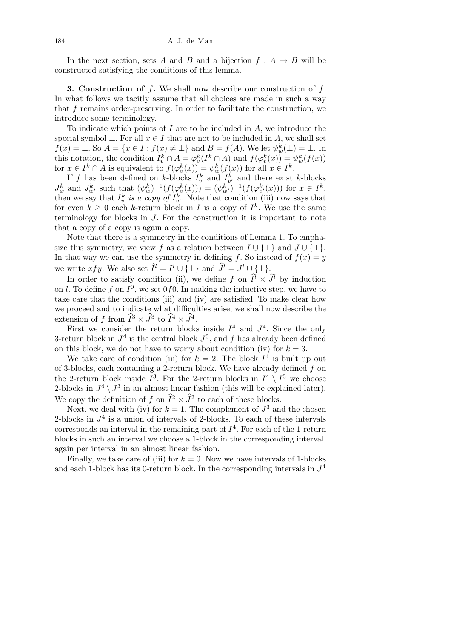In the next section, sets *A* and *B* and a bijection  $f : A \rightarrow B$  will be constructed satisfying the conditions of this lemma.

**3. Construction of** *f***.** We shall now describe our construction of *f*. In what follows we tacitly assume that all choices are made in such a way that *f* remains order-preserving. In order to facilitate the construction, we introduce some terminology.

To indicate which points of *I* are to be included in *A*, we introduce the special symbol  $\bot$ . For all  $x \in I$  that are not to be included in *A*, we shall set  $f(x) = \bot$ . So  $A = \{x \in I : f(x) \neq \bot\}$  and  $B = f(A)$ . We let  $\psi_w^k(\bot) = \bot$ . In this notation, the condition  $I_v^k \cap A = \varphi_v^k(I^k \cap A)$  and  $f(\varphi_v^k(x)) = \psi_w^k(f(x))$ for  $x \in I^k \cap A$  is equivalent to  $f(\varphi_v^k(x)) = \psi_w^k(f(x))$  for all  $x \in I^k$ .

If *f* has been defined on *k*-blocks  $I_v^k$  and  $I_{v'}^k$  and there exist *k*-blocks  $J_w^k$  and  $J_{w'}^k$  such that  $(\psi_w^k)^{-1}(f(\varphi_v^k(x))) = (\psi_{w'}^k)^{-1}(f(\varphi_{v'}^k(x)))$  for  $x \in I^k$ , then we say that  $I_v^k$  *is a copy of*  $I_{v'}^k$ . Note that condition (iii) now says that for even  $k \geq 0$  each *k*-return block in *I* is a copy of  $I^k$ . We use the same terminology for blocks in *J*. For the construction it is important to note that a copy of a copy is again a copy.

Note that there is a symmetry in the conditions of Lemma 1. To emphasize this symmetry, we view *f* as a relation between  $I \cup \{\perp\}$  and  $J \cup \{\perp\}$ . In that way we can use the symmetry in defining *f*. So instead of  $f(x) = y$ we write  $xfy$ . We also set  $\hat{I}^l = I^l \cup \{\perp\}$  and  $\hat{J}^l = J^l \cup \{\perp\}.$ 

In order to satisfy condition (ii), we define *f* on  $\hat{I}^l \times \hat{J}^l$  by induction on *l*. To define f on  $I^0$ , we set 0f0. In making the inductive step, we have to take care that the conditions (iii) and (iv) are satisfied. To make clear how we proceed and to indicate what difficulties arise, we shall now describe the extension of *f* from  $\widehat{I}^3 \times \widehat{J}^3$  to  $\widehat{I}^4 \times \widehat{J}^4$ .

First we consider the return blocks inside  $I^4$  and  $J^4$ . Since the only 3-return block in  $J^4$  is the central block  $J^3$ , and f has already been defined on this block, we do not have to worry about condition (iv) for  $k = 3$ .

We take care of condition (iii) for  $k = 2$ . The block  $I<sup>4</sup>$  is built up out of 3-blocks, each containing a 2-return block. We have already defined *f* on the 2-return block inside  $I^3$ . For the 2-return blocks in  $I^4 \setminus I^3$  we choose 2-blocks in  $J^4 \setminus J^3$  in an almost linear fashion (this will be explained later). We copy the definition of  $f$  on  $\widehat{I}^2 \times \widehat{J}^2$  to each of these blocks.

Next, we deal with (iv) for  $k = 1$ . The complement of  $J^3$  and the chosen 2-blocks in  $J<sup>4</sup>$  is a union of intervals of 2-blocks. To each of these intervals  $\alpha$  corresponds an interval in the remaining part of  $I<sup>4</sup>$ . For each of the 1-return blocks in such an interval we choose a 1-block in the corresponding interval, again per interval in an almost linear fashion.

Finally, we take care of (iii) for  $k = 0$ . Now we have intervals of 1-blocks and each 1-block has its 0-return block. In the corresponding intervals in  $J<sup>4</sup>$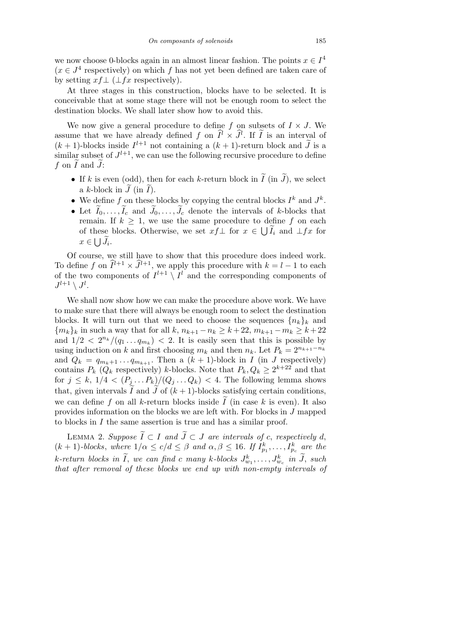we now choose 0-blocks again in an almost linear fashion. The points  $x \in I^4$  $(x \in J^4$  respectively) on which *f* has not yet been defined are taken care of by setting  $xf \perp (\perp fx$  respectively).

At three stages in this construction, blocks have to be selected. It is conceivable that at some stage there will not be enough room to select the destination blocks. We shall later show how to avoid this.

We now give a general procedure to define  $f$  on subsets of  $I \times J$ . We assume that we have already defined *f* on  $\hat{I}^l \times \hat{J}^l$ . If  $\tilde{I}$  is an interval of  $(k+1)$ -blocks inside  $I^{l+1}$  not containing a  $(k+1)$ -return block and  $\tilde{J}$  is a similar subset of  $J^{l+1}$ , we can use the following recursive procedure to define  $f$  on  $\tilde{I}$  and  $\tilde{J}$ :

- If *k* is even (odd), then for each *k*-return block in  $\widetilde{I}$  (in  $\widetilde{J}$ ), we select a *k*-block in  $\tilde{J}$  (in  $\tilde{I}$ ).
- We define f on these blocks by copying the central blocks  $I^k$  and  $J^k$ .
- Let  $I_0, \ldots, I_c$  and  $J_0, \ldots, J_c$  denote the intervals of *k*-blocks that remain. If  $k \geq 1$ , we use the same procedure to define *f* on each of these blocks. Otherwise, we set  $xf\perp$  for  $x \in \bigcup \widetilde{I}_i$  and  $\perp fx$  for  $x \in \bigcup \widetilde{J}_i$ .

Of course, we still have to show that this procedure does indeed work. To define *f* on  $\widehat{I}^{l+1} \times \widehat{J}^{l+1}$ , we apply this procedure with  $k = l - 1$  to each of the two components of  $I^{l+1} \setminus I^l$  and the corresponding components of  $J^{l+1} \setminus J^l.$ 

We shall now show how we can make the procedure above work. We have to make sure that there will always be enough room to select the destination blocks. It will turn out that we need to choose the sequences  ${n_k}_k$  and *{m*<sub>*k*</sub>}</del>*k* **in such a way that for all** *k***,**  $n_{k+1} - n_k \geq k + 22$ **,**  $m_{k+1} - m_k \geq k + 22$ and  $1/2 < 2^{n_k}/(q_1 \ldots q_{m_k}) < 2$ . It is easily seen that this is possible by using induction on *k* and first choosing  $m_k$  and then  $n_k$ . Let  $P_k = 2^{n_{k+1}-n_k}$ and  $Q_k = q_{m_k+1} \dots q_{m_{k+1}}$ . Then a  $(k+1)$ -block in *I* (in *J* respectively) contains  $P_k$  ( $Q_k$  respectively) *k*-blocks. Note that  $P_k$ ,  $Q_k \geq 2^{k+22}$  and that for  $j \leq k$ ,  $1/4 < (P_j \ldots P_k)/(Q_j \ldots Q_k) < 4$ . The following lemma shows that, given intervals  $\tilde{I}$  and  $\tilde{J}$  of  $(k+1)$ -blocks satisfying certain conditions, we can define f on all k-return blocks inside  $\tilde{I}$  (in case k is even). It also provides information on the blocks we are left with. For blocks in *J* mapped to blocks in *I* the same assertion is true and has a similar proof.

**LEMMA** 2. Suppose  $\widetilde{I} \subset I$  and  $\widetilde{J} \subset J$  are intervals of *c*, respectively *d*,  $(k + 1)$ -blocks, where  $1/\alpha \le c/d \le \beta$  and  $\alpha, \beta \le 16$ . If  $I_{p_1}^k, \ldots, I_{p_c}^k$  are the  $k$ *-return blocks in*  $\widetilde{I}$ , *we can find c many*  $k$ *-blocks*  $J^k_{w_1}, \ldots, J^k_{w_c}$  *in*  $\widetilde{J}$ , *such that after removal of these blocks we end up with non-empty intervals of*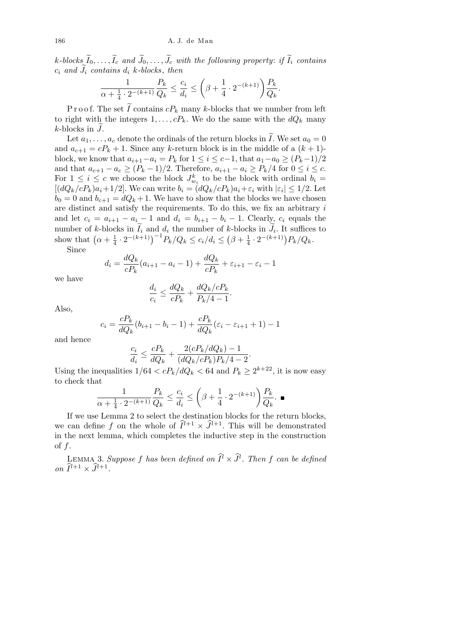*k*-blocks  $\widetilde{I}_0, \ldots, \widetilde{I}_c$  and  $\widetilde{J}_0, \ldots, \widetilde{J}_c$  with the following property: *if*  $\widetilde{I}_i$  *contains*  $c_i$  *and*  $J_i$  *contains*  $d_i$  *k-blocks*, *then*  $\overline{\phantom{a}}$ 

$$
\frac{1}{\alpha + \frac{1}{4} \cdot 2^{-(k+1)}} \frac{P_k}{Q_k} \le \frac{c_i}{d_i} \le \left(\beta + \frac{1}{4} \cdot 2^{-(k+1)}\right) \frac{P_k}{Q_k}.
$$

P r o o f. The set  $\tilde{I}$  contains  $cP_k$  many *k*-blocks that we number from left to right with the integers  $1, \ldots, cP_k$ . We do the same with the  $dQ_k$  many  $k$ -blocks in  $J$ .

Let  $a_1, \ldots, a_c$  denote the ordinals of the return blocks in  $\tilde{I}$ . We set  $a_0 = 0$ and  $a_{c+1} = cP_k + 1$ . Since any *k*-return block is in the middle of a  $(k + 1)$ block, we know that  $a_{i+1}-a_i = P_k$  for  $1 \leq i \leq c-1$ , that  $a_1-a_0 \geq (P_k-1)/2$ and that  $a_{c+1} - a_c \ge (P_k - 1)/2$ . Therefore,  $a_{i+1} - a_i \ge P_k/4$  for  $0 \le i \le c$ . For  $1 \leq i \leq c$  we choose the block  $J_{w_i}^k$  to be the block with ordinal  $b_i =$  $[(dQ_k/cP_k)a_i+1/2]$ . We can write  $b_i=(dQ_k/cP_k)a_i+\varepsilon_i$  with  $|\varepsilon_i|\leq 1/2$ . Let  $b_0 = 0$  and  $b_{c+1} = dQ_k + 1$ . We have to show that the blocks we have chosen are distinct and satisfy the requirements. To do this, we fix an arbitrary *i* and let  $c_i = a_{i+1} - a_i - 1$  and  $d_i = b_{i+1} - b_i - 1$ . Clearly,  $c_i$  equals the number of *k*-blocks in  $\tilde{I}_i$  and  $d_i$  the number of *k*-blocks in  $\tilde{J}_i$ . It suffices to show that  $(\alpha + \frac{1}{4} \cdot 2^{-(k+1)})^{-1} P_k / Q_k \le c_i / d_i \le (\beta + \frac{1}{4} \cdot 2^{-(k+1)}) P_k / Q_k$ .  $\frac{1}{4} \cdot 2^{-(k+1)}$  $\Big)^{-1} P_k / Q_k \leq c_i / d_i \leq$  $\frac{\kappa}{2}$  $\beta + \frac{1}{4}$  $\frac{1}{4} \cdot 2^{-(k+1)} P_k/Q_k.$ Since

> $d_i = \frac{dQ_k}{dR}$  $\frac{dQ_k}{cP_k}(a_{i+1} - a_i - 1) + \frac{dQ_k}{cP_k} + \varepsilon_{i+1} - \varepsilon_i - 1$

we have

$$
\frac{d_i}{c_i} \le \frac{dQ_k}{cP_k} + \frac{dQ_k/cP_k}{P_k/4 - 1}.
$$

Also,

$$
c_i = \frac{cP_k}{dQ_k}(b_{i+1} - b_i - 1) + \frac{cP_k}{dQ_k}(\varepsilon_i - \varepsilon_{i+1} + 1) - 1
$$

and hence

$$
\frac{c_i}{d_i} \le \frac{cP_k}{dQ_k} + \frac{2(cP_k/dQ_k) - 1}{(dQ_k/cP_k)P_k/4 - 2}.
$$

Using the inequalities  $1/64 < cP_k/dQ_k < 64$  and  $P_k \geq 2^{k+22}$ , it is now easy to check that  $\overline{1}$ 

$$
\frac{1}{\alpha + \frac{1}{4} \cdot 2^{-(k+1)}} \frac{P_k}{Q_k} \le \frac{c_i}{d_i} \le \left(\beta + \frac{1}{4} \cdot 2^{-(k+1)}\right) \frac{P_k}{Q_k}. \blacksquare
$$

If we use Lemma 2 to select the destination blocks for the return blocks, we can define f on the whole of  $\widehat{I}^{l+1} \times \widehat{J}^{l+1}$ . This will be demonstrated in the next lemma, which completes the inductive step in the construction of *f*.

LEMMA 3. Suppose f has been defined on  $\widehat{I}^l \times \widehat{J}^l$ . Then f can be defined *on*  $\widehat{I}^{l+1} \times \widehat{J}^{l+1}$ .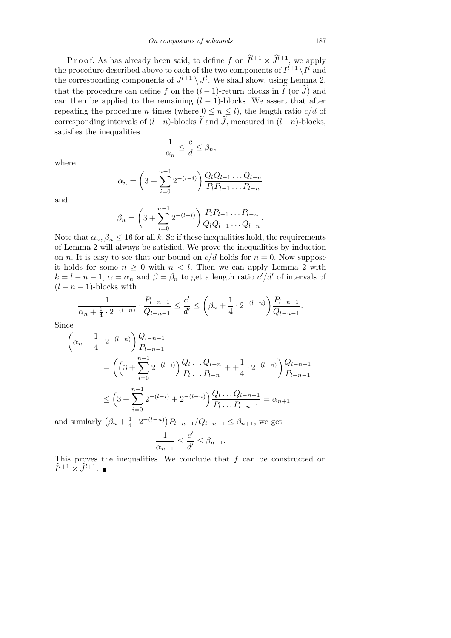P r o o f. As has already been said, to define f on  $\hat{I}^{l+1} \times \hat{J}^{l+1}$ , we apply the procedure described above to each of the two components of  $I^{l+1} \setminus I^l$  and the corresponding components of  $J^{l+1} \setminus J^l$ . We shall show, using Lemma 2, that the procedure can define *f* on the  $(l-1)$ -return blocks in  $\widetilde{I}$  (or  $\widetilde{J}$ ) and can then be applied to the remaining  $(l-1)$ -blocks. We assert that after repeating the procedure *n* times (where  $0 \leq n \leq l$ ), the length ratio  $c/d$  of corresponding intervals of  $(l-n)$ -blocks  $\widetilde{I}$  and  $\widetilde{J}$ , measured in  $(l-n)$ -blocks, satisfies the inequalities

$$
\frac{1}{\alpha_n} \le \frac{c}{d} \le \beta_n,
$$

where

$$
\alpha_n = \left(3 + \sum_{i=0}^{n-1} 2^{-(l-i)}\right) \frac{Q_l Q_{l-1} \dots Q_{l-n}}{P_l P_{l-1} \dots P_{l-n}}
$$

and

$$
\beta_n = \left(3 + \sum_{i=0}^{n-1} 2^{-(l-i)}\right) \frac{P_l P_{l-1} \dots P_{l-n}}{Q_l Q_{l-1} \dots Q_{l-n}}
$$

*.*

Note that  $\alpha_n, \beta_n \leq 16$  for all k. So if these inequalities hold, the requirements of Lemma 2 will always be satisfied. We prove the inequalities by induction on *n*. It is easy to see that our bound on  $c/d$  holds for  $n = 0$ . Now suppose it holds for some  $n \geq 0$  with  $n < l$ . Then we can apply Lemma 2 with  $k = l - n - 1$ ,  $\alpha = \alpha_n$  and  $\beta = \beta_n$  to get a length ratio  $c'/d'$  of intervals of  $(l - n - 1)$ -blocks with

$$
\frac{1}{\alpha_n + \frac{1}{4} \cdot 2^{-(l-n)}} \cdot \frac{P_{l-n-1}}{Q_{l-n-1}} \le \frac{c'}{d'} \le \left(\beta_n + \frac{1}{4} \cdot 2^{-(l-n)}\right) \frac{P_{l-n-1}}{Q_{l-n-1}}.
$$

Since

$$
\begin{aligned}\n&\left(\alpha_n + \frac{1}{4} \cdot 2^{-(l-n)}\right) \frac{Q_{l-n-1}}{P_{l-n-1}} \\
&= \left(\left(3 + \sum_{i=0}^{n-1} 2^{-(l-i)}\right) \frac{Q_{l} \dots Q_{l-n}}{P_{l} \dots P_{l-n}} + \frac{1}{4} \cdot 2^{-(l-n)}\right) \frac{Q_{l-n-1}}{P_{l-n-1}} \\
&\le \left(3 + \sum_{i=0}^{n-1} 2^{-(l-i)} + 2^{-(l-n)}\right) \frac{Q_{l} \dots Q_{l-n-1}}{P_{l} \dots P_{l-n-1}} = \alpha_{n+1}\n\end{aligned}
$$

and similarly  $(\beta_n + \frac{1}{4})$  $\frac{1}{4} \cdot 2^{-(l-n)}$ *P*<sub>*l*</sub>−*n*−1/ $Q$ <sub>*l*−*n*−1</sub>  $\leq \beta$ <sub>*n*+1</sub>, we get 1  $\frac{1}{\alpha_{n+1}} \leq \frac{c'}{d'}$  $\frac{\partial}{\partial t} \leq \beta_{n+1}$ .

This proves the inequalities. We conclude that *f* can be constructed on  $\widehat{I}^{l+1} \times \widehat{J}^{l+1}.$